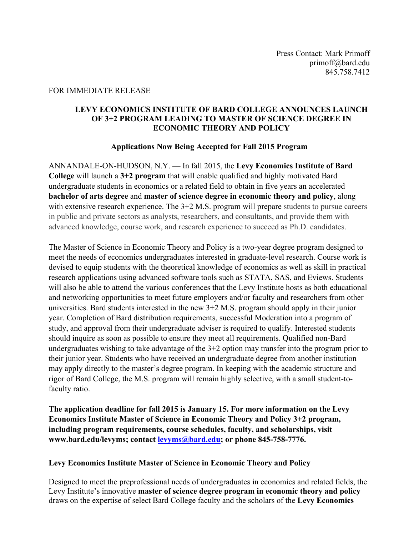#### FOR IMMEDIATE RELEASE

#### **LEVY ECONOMICS INSTITUTE OF BARD COLLEGE ANNOUNCES LAUNCH OF 3+2 PROGRAM LEADING TO MASTER OF SCIENCE DEGREE IN ECONOMIC THEORY AND POLICY**

#### **Applications Now Being Accepted for Fall 2015 Program**

ANNANDALE-ON-HUDSON, N.Y. — In fall 2015, the **Levy Economics Institute of Bard College** will launch a **3+2 program** that will enable qualified and highly motivated Bard undergraduate students in economics or a related field to obtain in five years an accelerated **bachelor of arts degree** and **master of science degree in economic theory and policy**, along with extensive research experience. The  $3+2$  M.S. program will prepare students to pursue careers in public and private sectors as analysts, researchers, and consultants, and provide them with advanced knowledge, course work, and research experience to succeed as Ph.D. candidates.

The Master of Science in Economic Theory and Policy is a two-year degree program designed to meet the needs of economics undergraduates interested in graduate-level research. Course work is devised to equip students with the theoretical knowledge of economics as well as skill in practical research applications using advanced software tools such as STATA, SAS, and Eviews. Students will also be able to attend the various conferences that the Levy Institute hosts as both educational and networking opportunities to meet future employers and/or faculty and researchers from other universities. Bard students interested in the new 3+2 M.S. program should apply in their junior year. Completion of Bard distribution requirements, successful Moderation into a program of study, and approval from their undergraduate adviser is required to qualify. Interested students should inquire as soon as possible to ensure they meet all requirements. Qualified non-Bard undergraduates wishing to take advantage of the 3+2 option may transfer into the program prior to their junior year. Students who have received an undergraduate degree from another institution may apply directly to the master's degree program. In keeping with the academic structure and rigor of Bard College, the M.S. program will remain highly selective, with a small student-tofaculty ratio.

**The application deadline for fall 2015 is January 15. For more information on the Levy Economics Institute Master of Science in Economic Theory and Policy 3+2 program, including program requirements, course schedules, faculty, and scholarships, visit www.bard.edu/levyms; contact levyms@bard.edu; or phone 845-758-7776.** 

# **Levy Economics Institute Master of Science in Economic Theory and Policy**

Designed to meet the preprofessional needs of undergraduates in economics and related fields, the Levy Institute's innovative **master of science degree program in economic theory and policy** draws on the expertise of select Bard College faculty and the scholars of the **Levy Economics**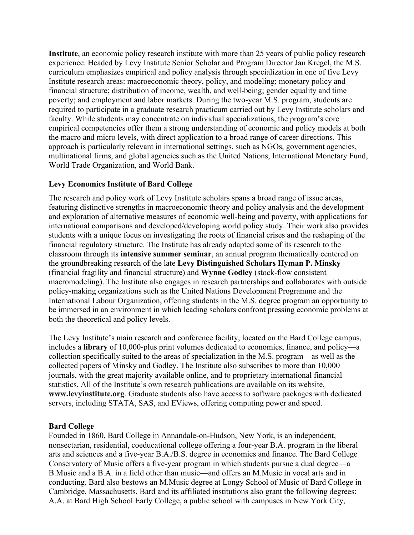**Institute**, an economic policy research institute with more than 25 years of public policy research experience. Headed by Levy Institute Senior Scholar and Program Director Jan Kregel, the M.S. curriculum emphasizes empirical and policy analysis through specialization in one of five Levy Institute research areas: macroeconomic theory, policy, and modeling; monetary policy and financial structure; distribution of income, wealth, and well-being; gender equality and time poverty; and employment and labor markets. During the two-year M.S. program, students are required to participate in a graduate research practicum carried out by Levy Institute scholars and faculty. While students may concentrate on individual specializations, the program's core empirical competencies offer them a strong understanding of economic and policy models at both the macro and micro levels, with direct application to a broad range of career directions. This approach is particularly relevant in international settings, such as NGOs, government agencies, multinational firms, and global agencies such as the United Nations, International Monetary Fund, World Trade Organization, and World Bank.

# **Levy Economics Institute of Bard College**

The research and policy work of Levy Institute scholars spans a broad range of issue areas, featuring distinctive strengths in macroeconomic theory and policy analysis and the development and exploration of alternative measures of economic well-being and poverty, with applications for international comparisons and developed/developing world policy study. Their work also provides students with a unique focus on investigating the roots of financial crises and the reshaping of the financial regulatory structure. The Institute has already adapted some of its research to the classroom through its **intensive summer seminar**, an annual program thematically centered on the groundbreaking research of the late **Levy Distinguished Scholars Hyman P. Minsky** (financial fragility and financial structure) and **Wynne Godley** (stock-flow consistent macromodeling). The Institute also engages in research partnerships and collaborates with outside policy-making organizations such as the United Nations Development Programme and the International Labour Organization, offering students in the M.S. degree program an opportunity to be immersed in an environment in which leading scholars confront pressing economic problems at both the theoretical and policy levels.

The Levy Institute's main research and conference facility, located on the Bard College campus, includes a **library** of 10,000-plus print volumes dedicated to economics, finance, and policy—a collection specifically suited to the areas of specialization in the M.S. program—as well as the collected papers of Minsky and Godley. The Institute also subscribes to more than 10,000 journals, with the great majority available online, and to proprietary international financial statistics. All of the Institute's own research publications are available on its website, **www.levyinstitute.org**. Graduate students also have access to software packages with dedicated servers, including STATA, SAS, and EViews, offering computing power and speed.

# **Bard College**

Founded in 1860, Bard College in Annandale-on-Hudson, New York, is an independent, nonsectarian, residential, coeducational college offering a four-year B.A. program in the liberal arts and sciences and a five-year B.A./B.S. degree in economics and finance. The Bard College Conservatory of Music offers a five-year program in which students pursue a dual degree—a B.Music and a B.A. in a field other than music—and offers an M.Music in vocal arts and in conducting. Bard also bestows an M.Music degree at Longy School of Music of Bard College in Cambridge, Massachusetts. Bard and its affiliated institutions also grant the following degrees: A.A. at Bard High School Early College, a public school with campuses in New York City,